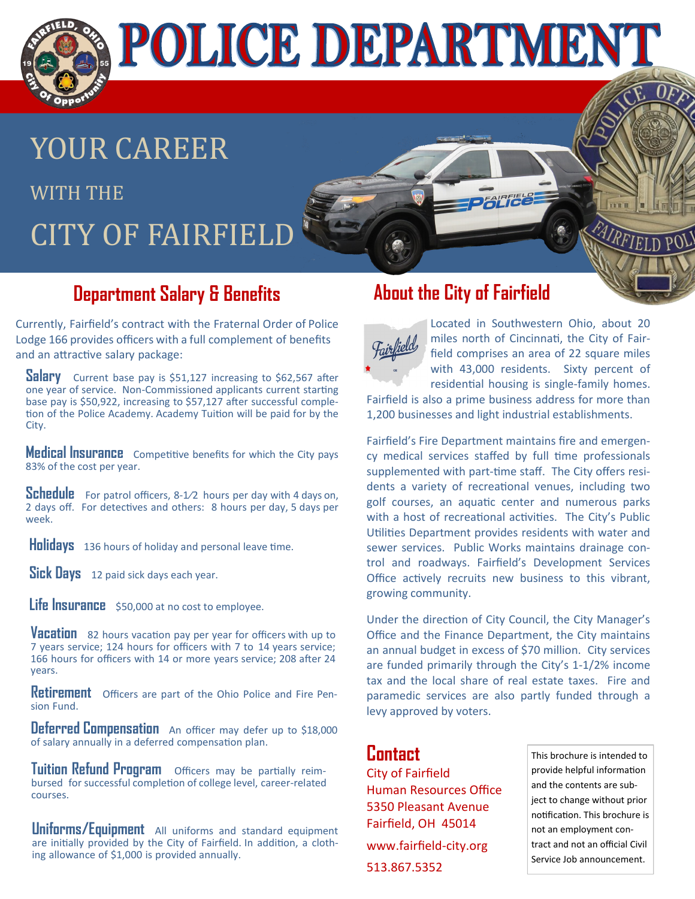

YOUR CAREER WITH THE **CITY OF FAIRFIEL** 

### **Department Salary & Benefits**

Currently, Fairfield's contract with the Fraternal Order of Police Lodge 166 provides officers with a full complement of benefits and an attractive salary package:

**Salary** Current base pay is \$51,127 increasing to \$62,567 after one year of service. Non-Commissioned applicants current starting base pay is \$50,922, increasing to \$57,127 after successful completion of the Police Academy. Academy Tuition will be paid for by the City.

**Medical Insurance** Competitive benefits for which the City pays 83% of the cost per year.

**Schedule** For patrol officers, 8-1/2 hours per day with 4 days on, 2 days off. For detectives and others: 8 hours per day, 5 days per week.

**Holidays** 136 hours of holiday and personal leave time.

**Sick Days** 12 paid sick days each year.

Life Insurance \$50,000 at no cost to employee.

**Vacation** <sup>82</sup> hours vacation pay per year for officers with up to 7 years service; 124 hours for officers with 7 to 14 years service; 166 hours for officers with 14 or more years service; 208 after 24 years.

**Retirement** Officers are part of the Ohio Police and Fire Pension Fund.

**Deferred Compensation** An officer may defer up to \$18,000 of salary annually in a deferred compensation plan.

**Tuition Refund Program** Officers may be partially reimbursed for successful completion of college level, career-related courses.

**Uniforms/Equipment** All uniforms and standard equipment are initially provided by the City of Fairfield. In addition, a clothing allowance of \$1,000 is provided annually.

## **About the City of Fairfield**



Located in Southwestern Ohio, about 20 miles north of Cincinnati, the City of Fairfield comprises an area of 22 square miles with 43,000 residents. Sixty percent of residential housing is single-family homes.

Fairfield is also a prime business address for more than 1,200 businesses and light industrial establishments.

Fairfield's Fire Department maintains fire and emergency medical services staffed by full time professionals supplemented with part-time staff. The City offers residents a variety of recreational venues, including two golf courses, an aquatic center and numerous parks with a host of recreational activities. The City's Public Utilities Department provides residents with water and sewer services. Public Works maintains drainage control and roadways. Fairfield's Development Services Office actively recruits new business to this vibrant, growing community.

Under the direction of City Council, the City Manager's Office and the Finance Department, the City maintains an annual budget in excess of \$70 million. City services are funded primarily through the City's 1-1/2% income tax and the local share of real estate taxes. Fire and paramedic services are also partly funded through a levy approved by voters.

### **Contact**

City of Fairfield Human Resources Office 5350 Pleasant Avenue Fairfield, OH 45014 www.fairfield-city.org 513.867.5352

This brochure is intended to provide helpful information and the contents are subject to change without prior notification. This brochure is not an employment contract and not an official Civil Service Job announcement.